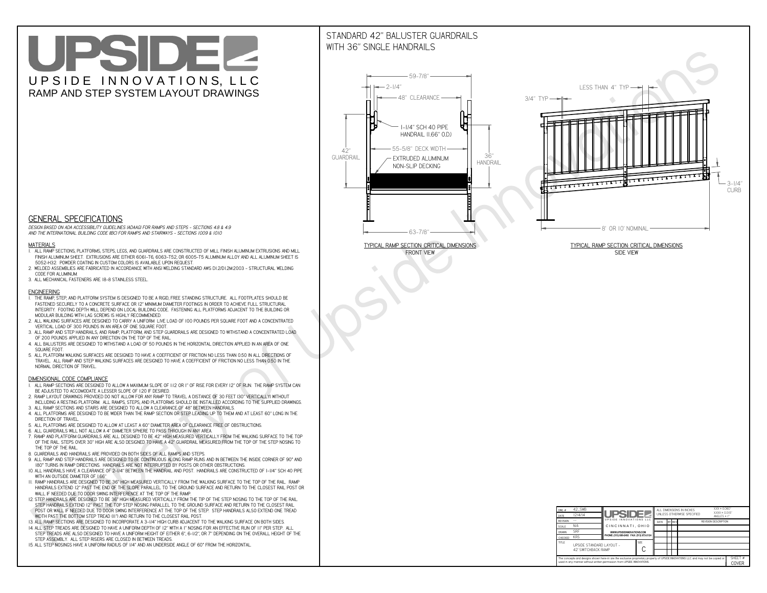# UPSIDEL UPSIDE INNOVATIONS, LLC RAMP AND STEP SYSTEM LAYOUT DRAWINGS

## STANDARD 42" BALUSTER GUARDRAILSWITH 36" SINGLE HANDRAILS

**FRONT VIEW**





**GENERAL SPECIFICATIONS**

 *DESIGN BASED ON ADA ACCESSIBILITY GUIDELINES (ADAAG) FOR RAMPS AND STEPS - SECTIONS 4.8 & 4.9AND THE INTERNATIONAL BUILDING CODE (IBC) FOR RAMPS AND STAIRWAYS - SECTIONS 1009 & 1010*

#### **MATERIALS**

- **1. ALL RAMP SECTIONS, PLATFORMS, STEPS, LEGS, AND GUARDRAILS ARE CONSTRUCTED OF MILL FINISH ALUMINUM EXTRUSIONS AND MILL FINISH ALUMINUM SHEET. EXTRUSIONS ARE EITHER 6061-T6, 6063-T52, OR 6005-T5 ALUMINUM ALLOY AND ALL ALUMINUM SHEET IS 5052-H32. POWDER COATING IN CUSTOM COLORS IS AVAILABLE UPON REQUEST.**
- **2. WELDED ASSEMBLIES ARE FABRICATED IN ACCORDANCE WITH ANSI WELDING STANDARD AWS D1.2/D1.2M:2003 STRUCTURAL WELDING CODE FOR ALUMINUM.**
- **3. ALL MECHANICAL FASTENERS ARE 18-8 STAINLESS STEEL.**

#### **ENGINEERING**

- **1. THE RAMP, STEP, AND PLATFORM SYSTEM IS DESIGNED TO BE A RIGID, FREE STANDING STRUCTURE. ALL FOOTPLATES SHOULD BE FASTENED SECURELY TO A CONCRETE SURFACE OR 12" MINIMUM DIAMETER FOOTINGS IN ORDER TO ACHIEVE FULL STRUCTURAL INTEGRITY. FOOTING DEPTH WILL DEPEND ON LOCAL BUILDING CODE. FASTENING ALL PLATFORMS ADJACENT TO THE BUILDING OR MODULAR BUILDING WITH LAG SCREWS IS HIGHLY RECOMMENDED.**
- **2. ALL WALKING SURFACES ARE DESIGNED TO CARRY A UNIFORM LIVE LOAD OF 100 POUNDS PER SQUARE FOOT AND A CONCENTRATED VERTICAL LOAD OF 300 POUNDS IN AN AREA OF ONE SQUARE FOOT.**
- **3. ALL RAMP AND STEP HANDRAILS, AND RAMP, PLATFORM, AND STEP GUARDRAILS ARE DESIGNED TO WITHSTAND A CONCENTRATED LOAD OF 200 POUNDS APPLIED IN ANY DIRECTION ON THE TOP OF THE RAIL.**
- **4. ALL BALUSTERS ARE DESIGNED TO WITHSTAND A LOAD OF 50 POUNDS IN THE HORIZONTAL DIRECTION APPLIED IN AN AREA OF ONE SQUARE FOOT.**
- **5. ALL PLATFORM WALKING SURFACES ARE DESIGNED TO HAVE A COEFFICIENT OF FRICTION NO LESS THAN 0.50 IN ALL DIRECTIONS OF TRAVEL. ALL RAMP AND STEP WALKING SURFACES ARE DESIGNED TO HAVE A COEFFICIENT OF FRICTION NO LESS THAN 0.50 IN THE NORMAL DIRECTION OF TRAVEL.**

| $DWG.$ #<br>DATE                                                                                                                                                                                            | 42_SWB<br>12/4/14                               | <b>UPSIDE!</b>                            |             | ALL DIMENSIONS IN INCHES<br>UNLESS OTHERWISE SPECIFIED |  |        |                             | $XXX = 0.060"$<br>$XXX \pm 0.015$ "<br>ANGLES $\pm$ 1° |                         |
|-------------------------------------------------------------------------------------------------------------------------------------------------------------------------------------------------------------|-------------------------------------------------|-------------------------------------------|-------------|--------------------------------------------------------|--|--------|-----------------------------|--------------------------------------------------------|-------------------------|
| <b>REVISION</b>                                                                                                                                                                                             |                                                 | UPSIDE INNOVATIONS LLC                    |             | DATE                                                   |  | BY REV | <b>REVISION DESCRIPTION</b> |                                                        |                         |
| <b>SCALE</b>                                                                                                                                                                                                | N/A                                             | CINCINNATI, OHIO                          |             |                                                        |  |        |                             |                                                        |                         |
| <b>DRAWN</b>                                                                                                                                                                                                | <b>SRF</b>                                      | WWW.UPSIDEINNOVATIONS.COM                 |             |                                                        |  |        |                             |                                                        |                         |
| <b>CHECKED</b>                                                                                                                                                                                              | <b>KRS</b>                                      | PHONE: (513) 889-2492 FAX: (513) 672-2124 |             |                                                        |  |        |                             |                                                        |                         |
| <b>TITLE</b>                                                                                                                                                                                                | UPSIDE STANDARD LAYOUT -<br>42' SWITCHBACK RAMP |                                           | <b>SIZE</b> |                                                        |  |        |                             |                                                        |                         |
| The concepts and designs shown here-in are the exclusive proprietary property of UPSIDE INNOVATIONS LLC. and may not be copied or<br>used in any manner without written permission from UPSIDE INNOVATIONS. |                                                 |                                           |             |                                                        |  |        |                             |                                                        | SHFFT #<br><b>COVER</b> |

### **DIMENSIONAL CODE COMPLIANCE**

- **1. ALL RAMP SECTIONS ARE DESIGNED TO ALLOW A MAXIMUM SLOPE OF 1:12 OR 1" OF RISE FOR EVERY 12" OF RUN. THE RAMP SYSTEM CAN BE ADJUSTED TO ACCOMODATE A LESSER SLOPE OF 1:20 IF DESIRED.**
- **2. RAMP LAYOUT DRAWINGS PROVIDED DO NOT ALLOW FOR ANY RAMP TO TRAVEL A DISTANCE OF 30 FEET (30" VERTICALLY) WITHOUT INCLUDING A RESTING PLATFORM. ALL RAMPS, STEPS, AND PLATFORMS SHOULD BE INSTALLED ACCORDING TO THE SUPPLIED DRAWINGS.**
- **3. ALL RAMP SECTIONS AND STAIRS ARE DESIGNED TO ALLOW A CLEARANCE OF 48" BETWEEN HANDRAILS.**
- **4. ALL PLATFORMS ARE DESIGNED TO BE WIDER THAN THE RAMP SECTION OR STEP LEADING UP TO THEM AND AT LEAST 60" LONG IN THE DIRECTION OF TRAVEL.**
- **5. ALL PLATFORMS ARE DESIGNED TO ALLOW AT LEAST A 60" DIAMETER AREA OF CLEARANCE FREE OF OBSTRUCTIONS.**
- **6. ALL GUARDRAILS WILL NOT ALLOW A 4" DIAMETER SPHERE TO PASS THROUGH IN ANY AREA.**
- **7. RAMP AND PLATFORM GUARDRAILS ARE ALL DESIGNED TO BE 42" HIGH MEASURED VERTICALLY FROM THE WALKING SURFACE TO THE TOP OF THE RAIL. STEPS OVER 30" HIGH ARE ALSO DESIGNED TO HAVE A 42" GUARDRAIL MEASURED FROM THE TOP OF THE STEP NOSING TO THE TOP OF THE RAIL.**
- **8. GUARDRAILS AND HANDRAILS ARE PROVIDED ON BOTH SIDES OF ALL RAMPS AND STEPS.**
- **9. ALL RAMP AND STEP HANDRAILS ARE DESIGNED TO BE CONTINUOUS ALONG RAMP RUNS AND IN BETWEEN THE INSIDE CORNER OF 90° AND 180° TURNS IN RAMP DIRECTIONS. HANDRAILS ARE NOT INTERRUPTED BY POSTS OR OTHER OBSTRUCTIONS.**
- **10. ALL HANDRAILS HAVE A CLEARANCE OF 2-1/4" BETWEEN THE HANDRAIL AND POST. HANDRAILS ARE CONSTRUCTED OF 1-1/4" SCH 40 PIPE WITH AN OUTSIDE DIAMETER OF 1.66"**
- **11. RAMP HANDRAILS ARE DESIGNED TO BE 36" HIGH MEASURED VERTICALLY FROM THE WALKING SURFACE TO THE TOP OF THE RAIL. RAMP HANDRAILS EXTEND 12" PAST THE END OF THE SLOPE PARALLEL TO THE GROUND SURFACE AND RETURN TO THE CLOSEST RAIL POST OR WALL IF NEEDED DUE TO DOOR SWING INTERFERENCE AT THE TOP OF THE RAMP.**
- **12. STEP HANDRAILS ARE DESIGNED TO BE 36" HIGH MEASURED VERTICALLY FROM THE TIP OF THE STEP NOSING TO THE TOP OF THE RAIL. STEP HANDRAILS EXTEND 12" PAST THE TOP STEP NOSING PARALLEL TO THE GROUND SURFACE AND RETURN TO THE CLOSEST RAIL POST OR WALL IF NEEDED DUE TO DOOR SWING INTERFERENCE AT THE TOP OF THE STEP. STEP HANDRAILS ALSO EXTEND ONE TREAD**
- **WIDTH PAST THE BOTTOM STEP TREAD (11") AND RETURN TO THE CLOSEST RAIL POST.**
- **13. ALL RAMP SECTIONS ARE DESIGNED TO INCORPORATE A 3-1/4" HIGH CURB ADJACENT TO THE WALKING SURFACE ON BOTH SIDES.**
- **14. ALL STEP TREADS ARE DESIGNED TO HAVE A UNIFORM DEPTH OF 12" WITH A 1" NOSING FOR AN EFFECTIVE RUN OF 11" PER STEP. ALL STEP TREADS ARE ALSO DESIGNED TO HAVE A UNIFORM HEIGHT OF EITHER 6", 6-1/2", OR 7" DEPENDING ON THE OVERALL HEIGHT OF THE STEP ASSEMBLY. ALL STEP RISERS ARE CLOSED IN BETWEEN TREADS.**
- **15. ALL STEP NOSINGS HAVE A UNIFORM RADIUS OF 1/4" AND AN UNDERSIDE ANGLE OF 60° FROM THE HORIZONTAL.**